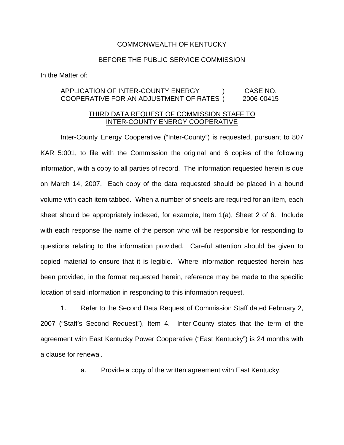## COMMONWEALTH OF KENTUCKY

## BEFORE THE PUBLIC SERVICE COMMISSION

In the Matter of:

## APPLICATION OF INTER-COUNTY ENERGY ) CASE NO. COOPERATIVE FOR AN ADJUSTMENT OF RATES ) 2006-00415

## THIRD DATA REQUEST OF COMMISSION STAFF TO INTER-COUNTY ENERGY COOPERATIVE

Inter-County Energy Cooperative ("Inter-County") is requested, pursuant to 807 KAR 5:001, to file with the Commission the original and 6 copies of the following information, with a copy to all parties of record. The information requested herein is due on March 14, 2007. Each copy of the data requested should be placed in a bound volume with each item tabbed. When a number of sheets are required for an item, each sheet should be appropriately indexed, for example, Item 1(a), Sheet 2 of 6. Include with each response the name of the person who will be responsible for responding to questions relating to the information provided. Careful attention should be given to copied material to ensure that it is legible. Where information requested herein has been provided, in the format requested herein, reference may be made to the specific location of said information in responding to this information request.

1. Refer to the Second Data Request of Commission Staff dated February 2, 2007 ("Staff's Second Request"), Item 4. Inter-County states that the term of the agreement with East Kentucky Power Cooperative ("East Kentucky") is 24 months with a clause for renewal.

a. Provide a copy of the written agreement with East Kentucky.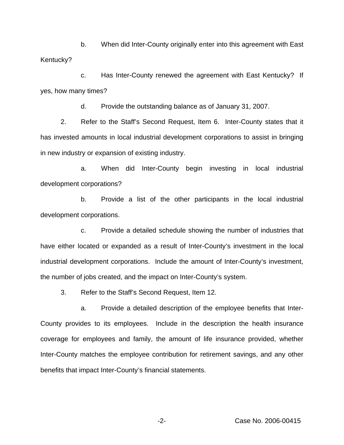b. When did Inter-County originally enter into this agreement with East Kentucky?

c. Has Inter-County renewed the agreement with East Kentucky? If yes, how many times?

d. Provide the outstanding balance as of January 31, 2007.

2. Refer to the Staff's Second Request, Item 6. Inter-County states that it has invested amounts in local industrial development corporations to assist in bringing in new industry or expansion of existing industry.

a. When did Inter-County begin investing in local industrial development corporations?

b. Provide a list of the other participants in the local industrial development corporations.

c. Provide a detailed schedule showing the number of industries that have either located or expanded as a result of Inter-County's investment in the local industrial development corporations. Include the amount of Inter-County's investment, the number of jobs created, and the impact on Inter-County's system.

3. Refer to the Staff's Second Request, Item 12.

a. Provide a detailed description of the employee benefits that Inter-County provides to its employees. Include in the description the health insurance coverage for employees and family, the amount of life insurance provided, whether Inter-County matches the employee contribution for retirement savings, and any other benefits that impact Inter-County's financial statements.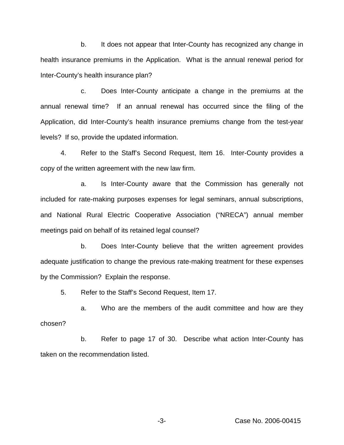b. It does not appear that Inter-County has recognized any change in health insurance premiums in the Application. What is the annual renewal period for Inter-County's health insurance plan?

c. Does Inter-County anticipate a change in the premiums at the annual renewal time? If an annual renewal has occurred since the filing of the Application, did Inter-County's health insurance premiums change from the test-year levels? If so, provide the updated information.

4. Refer to the Staff's Second Request, Item 16. Inter-County provides a copy of the written agreement with the new law firm.

a. Is Inter-County aware that the Commission has generally not included for rate-making purposes expenses for legal seminars, annual subscriptions, and National Rural Electric Cooperative Association ("NRECA") annual member meetings paid on behalf of its retained legal counsel?

b. Does Inter-County believe that the written agreement provides adequate justification to change the previous rate-making treatment for these expenses by the Commission? Explain the response.

5. Refer to the Staff's Second Request, Item 17.

a. Who are the members of the audit committee and how are they chosen?

b. Refer to page 17 of 30. Describe what action Inter-County has taken on the recommendation listed.

-3- Case No. 2006-00415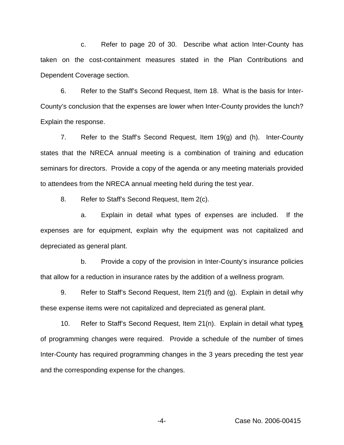c. Refer to page 20 of 30. Describe what action Inter-County has taken on the cost-containment measures stated in the Plan Contributions and Dependent Coverage section.

6. Refer to the Staff's Second Request, Item 18. What is the basis for Inter-County's conclusion that the expenses are lower when Inter-County provides the lunch? Explain the response.

7. Refer to the Staff's Second Request, Item 19(g) and (h). Inter-County states that the NRECA annual meeting is a combination of training and education seminars for directors. Provide a copy of the agenda or any meeting materials provided to attendees from the NRECA annual meeting held during the test year.

8. Refer to Staff's Second Request, Item 2(c).

a. Explain in detail what types of expenses are included. If the expenses are for equipment, explain why the equipment was not capitalized and depreciated as general plant.

b. Provide a copy of the provision in Inter-County's insurance policies that allow for a reduction in insurance rates by the addition of a wellness program.

9. Refer to Staff's Second Request, Item 21(f) and (g). Explain in detail why these expense items were not capitalized and depreciated as general plant.

10. Refer to Staff's Second Request, Item 21(n). Explain in detail what type**s** of programming changes were required. Provide a schedule of the number of times Inter-County has required programming changes in the 3 years preceding the test year and the corresponding expense for the changes.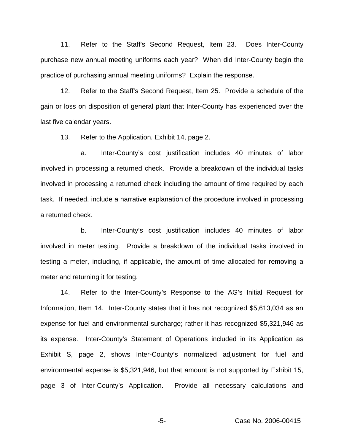11. Refer to the Staff's Second Request, Item 23. Does Inter-County purchase new annual meeting uniforms each year? When did Inter-County begin the practice of purchasing annual meeting uniforms? Explain the response.

12. Refer to the Staff's Second Request, Item 25. Provide a schedule of the gain or loss on disposition of general plant that Inter-County has experienced over the last five calendar years.

13. Refer to the Application, Exhibit 14, page 2.

a. Inter-County's cost justification includes 40 minutes of labor involved in processing a returned check. Provide a breakdown of the individual tasks involved in processing a returned check including the amount of time required by each task. If needed, include a narrative explanation of the procedure involved in processing a returned check.

b. Inter-County's cost justification includes 40 minutes of labor involved in meter testing. Provide a breakdown of the individual tasks involved in testing a meter, including, if applicable, the amount of time allocated for removing a meter and returning it for testing.

14. Refer to the Inter-County's Response to the AG's Initial Request for Information, Item 14. Inter-County states that it has not recognized \$5,613,034 as an expense for fuel and environmental surcharge; rather it has recognized \$5,321,946 as its expense. Inter-County's Statement of Operations included in its Application as Exhibit S, page 2, shows Inter-County's normalized adjustment for fuel and environmental expense is \$5,321,946, but that amount is not supported by Exhibit 15, page 3 of Inter-County's Application. Provide all necessary calculations and

-5- Case No. 2006-00415